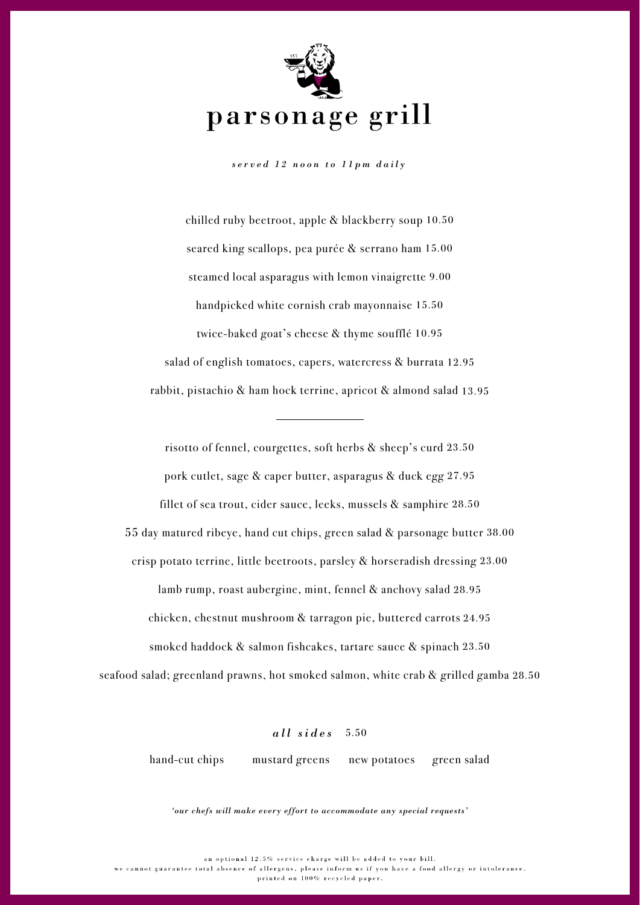

*served 12 noon to 11pm daily*

chilled ruby beetroot, apple & blackberry soup 10.50 seared king scallops, pea purée & serrano ham 15.00 steamed local asparagus with lemon vinaigrette 9.00 handpicked white cornish crab mayonnaise 15.50 twice-baked goat's cheese & thyme soufflé 10.95 salad of english tomatoes, capers, watercress & burrata 12.95 rabbit, pistachio & ham hock terrine, apricot & almond salad 13.95

risotto of fennel, courgettes, soft herbs & sheep's curd 23.50 pork cutlet, sage & caper butter, asparagus & duck egg 27.95 fillet of sea trout, cider sauce, leeks, mussels & samphire 28.50 55 day matured ribeye, hand cut chips, green salad & parsonage butter 38.00 crisp potato terrine, little beetroots, parsley & horseradish dressing 23.00 lamb rump, roast aubergine, mint, fennel & anchovy salad 28.95 chicken, chestnut mushroom & tarragon pie, buttered carrots 24.95 smoked haddock & salmon fishcakes, tartare sauce & spinach 23.50 seafood salad; greenland prawns, hot smoked salmon, white crab & grilled gamba 28.50

## *all sides* 5.50

hand-cut chips mustard greens new potatoes green salad

*'our chefs will make every effort to accommodate any special requests'*